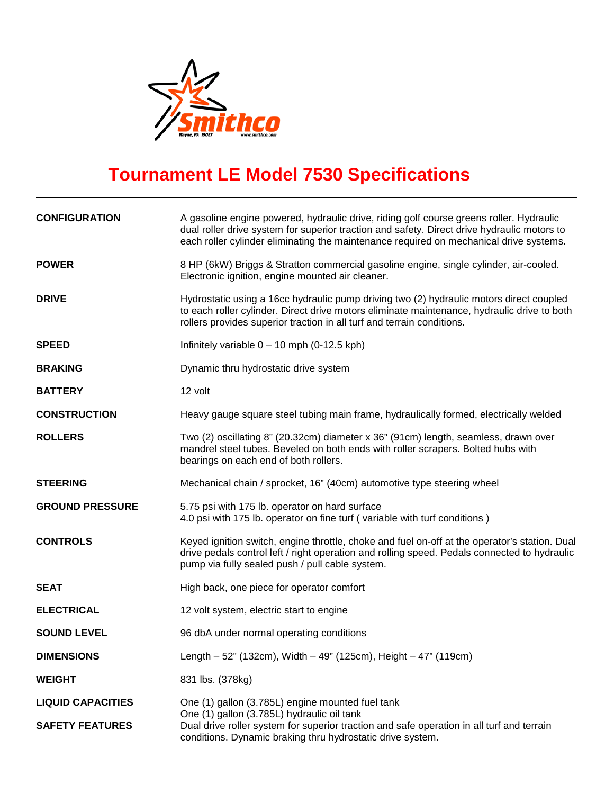

## **Tournament LE Model 7530 Specifications**

| <b>CONFIGURATION</b>     | A gasoline engine powered, hydraulic drive, riding golf course greens roller. Hydraulic<br>dual roller drive system for superior traction and safety. Direct drive hydraulic motors to<br>each roller cylinder eliminating the maintenance required on mechanical drive systems. |
|--------------------------|----------------------------------------------------------------------------------------------------------------------------------------------------------------------------------------------------------------------------------------------------------------------------------|
| <b>POWER</b>             | 8 HP (6kW) Briggs & Stratton commercial gasoline engine, single cylinder, air-cooled.<br>Electronic ignition, engine mounted air cleaner.                                                                                                                                        |
| <b>DRIVE</b>             | Hydrostatic using a 16cc hydraulic pump driving two (2) hydraulic motors direct coupled<br>to each roller cylinder. Direct drive motors eliminate maintenance, hydraulic drive to both<br>rollers provides superior traction in all turf and terrain conditions.                 |
| <b>SPEED</b>             | Infinitely variable $0 - 10$ mph (0-12.5 kph)                                                                                                                                                                                                                                    |
| <b>BRAKING</b>           | Dynamic thru hydrostatic drive system                                                                                                                                                                                                                                            |
| <b>BATTERY</b>           | 12 volt                                                                                                                                                                                                                                                                          |
| <b>CONSTRUCTION</b>      | Heavy gauge square steel tubing main frame, hydraulically formed, electrically welded                                                                                                                                                                                            |
| <b>ROLLERS</b>           | Two (2) oscillating 8" (20.32cm) diameter x 36" (91cm) length, seamless, drawn over<br>mandrel steel tubes. Beveled on both ends with roller scrapers. Bolted hubs with<br>bearings on each end of both rollers.                                                                 |
| <b>STEERING</b>          | Mechanical chain / sprocket, 16" (40cm) automotive type steering wheel                                                                                                                                                                                                           |
| <b>GROUND PRESSURE</b>   | 5.75 psi with 175 lb. operator on hard surface<br>4.0 psi with 175 lb. operator on fine turf (variable with turf conditions)                                                                                                                                                     |
| <b>CONTROLS</b>          | Keyed ignition switch, engine throttle, choke and fuel on-off at the operator's station. Dual<br>drive pedals control left / right operation and rolling speed. Pedals connected to hydraulic<br>pump via fully sealed push / pull cable system.                                 |
| <b>SEAT</b>              | High back, one piece for operator comfort                                                                                                                                                                                                                                        |
| <b>ELECTRICAL</b>        | 12 volt system, electric start to engine                                                                                                                                                                                                                                         |
| <b>SOUND LEVEL</b>       | 96 dbA under normal operating conditions                                                                                                                                                                                                                                         |
| <b>DIMENSIONS</b>        | Length - 52" (132cm), Width - 49" (125cm), Height - 47" (119cm)                                                                                                                                                                                                                  |
| <b>WEIGHT</b>            | 831 lbs. (378kg)                                                                                                                                                                                                                                                                 |
| <b>LIQUID CAPACITIES</b> | One (1) gallon (3.785L) engine mounted fuel tank<br>One (1) gallon (3.785L) hydraulic oil tank                                                                                                                                                                                   |
| <b>SAFETY FEATURES</b>   | Dual drive roller system for superior traction and safe operation in all turf and terrain<br>conditions. Dynamic braking thru hydrostatic drive system.                                                                                                                          |